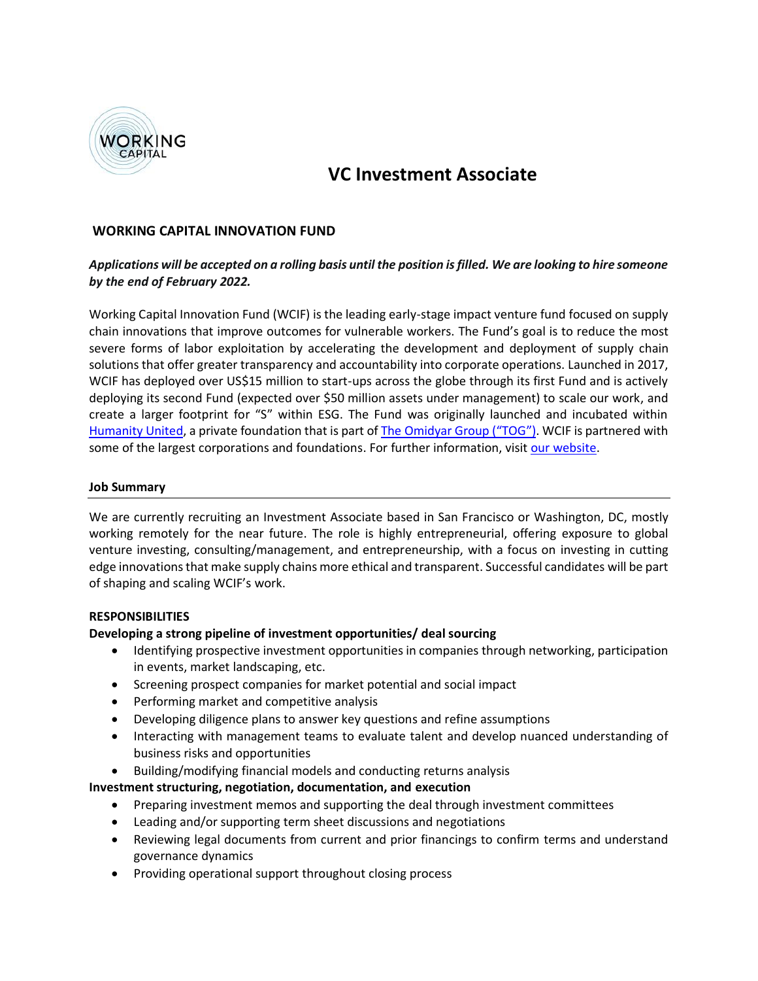

# **VC Investment Associate**

## **WORKING CAPITAL INNOVATION FUND**

## *Applications will be accepted on a rolling basis until the position is filled. We are looking to hire someone by the end of February 2022.*

Working Capital Innovation Fund (WCIF) is the leading early-stage impact venture fund focused on supply chain innovations that improve outcomes for vulnerable workers. The Fund's goal is to reduce the most severe forms of labor exploitation by accelerating the development and deployment of supply chain solutions that offer greater transparency and accountability into corporate operations. Launched in 2017, WCIF has deployed over US\$15 million to start-ups across the globe through its first Fund and is actively deploying its second Fund (expected over \$50 million assets under management) to scale our work, and create a larger footprint for "S" within ESG. The Fund was originally launched and incubated within [Humanity United,](https://humanityunited.org/) a private foundation that is part of [The Omidyar Group \("TOG"\)](https://www.omidyargroup.com/). WCIF is partnered with some of the largest corporations and foundations. For further information, visit [our website.](https://workingcapitalfund.com/)

#### **Job Summary**

We are currently recruiting an Investment Associate based in San Francisco or Washington, DC, mostly working remotely for the near future. The role is highly entrepreneurial, offering exposure to global venture investing, consulting/management, and entrepreneurship, with a focus on investing in cutting edge innovations that make supply chains more ethical and transparent. Successful candidates will be part of shaping and scaling WCIF's work.

#### **RESPONSIBILITIES**

#### **Developing a strong pipeline of investment opportunities/ deal sourcing**

- Identifying prospective investment opportunities in companies through networking, participation in events, market landscaping, etc.
- Screening prospect companies for market potential and social impact
- Performing market and competitive analysis
- Developing diligence plans to answer key questions and refine assumptions
- Interacting with management teams to evaluate talent and develop nuanced understanding of business risks and opportunities
- Building/modifying financial models and conducting returns analysis

#### **Investment structuring, negotiation, documentation, and execution**

- Preparing investment memos and supporting the deal through investment committees
- Leading and/or supporting term sheet discussions and negotiations
- Reviewing legal documents from current and prior financings to confirm terms and understand governance dynamics
- Providing operational support throughout closing process